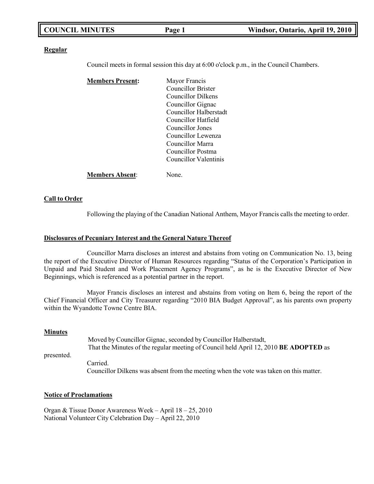| <b>COUNCIL MINUTES</b> | Page 1 | Windsor, Ontario, April 19, 2010 |
|------------------------|--------|----------------------------------|
|                        |        |                                  |

#### **Regular**

Council meets in formal session this day at 6:00 o'clock p.m., in the Council Chambers.

| <b>Members Present:</b> | Mayor Francis          |
|-------------------------|------------------------|
|                         | Councillor Brister     |
|                         | Councillor Dilkens     |
|                         | Councillor Gignac      |
|                         | Councillor Halberstadt |
|                         | Councillor Hatfield    |
|                         | Councillor Jones       |
|                         | Councillor Lewenza     |
|                         | Councillor Marra       |
|                         | Councillor Postma      |
|                         | Councillor Valentinis  |
| <b>Members Absent:</b>  | None.                  |

#### **Call to Order**

Following the playing of the Canadian National Anthem, Mayor Francis calls the meeting to order.

#### **Disclosures of Pecuniary Interest and the General Nature Thereof**

Councillor Marra discloses an interest and abstains from voting on Communication No. 13, being the report of the Executive Director of Human Resources regarding "Status of the Corporation's Participation in Unpaid and Paid Student and Work Placement Agency Programs", as he is the Executive Director of New Beginnings, which is referenced as a potential partner in the report.

Mayor Francis discloses an interest and abstains from voting on Item 6, being the report of the Chief Financial Officer and City Treasurer regarding "2010 BIA Budget Approval", as his parents own property within the Wyandotte Towne Centre BIA.

#### **Minutes**

presented. Moved by Councillor Gignac, seconded by Councillor Halberstadt, That the Minutes of the regular meeting of Council held April 12, 2010 **BE ADOPTED** as Carried. Councillor Dilkens was absent from the meeting when the vote was taken on this matter.

### **Notice of Proclamations**

Organ & Tissue Donor Awareness Week – April 18 – 25, 2010 National Volunteer City Celebration Day – April 22, 2010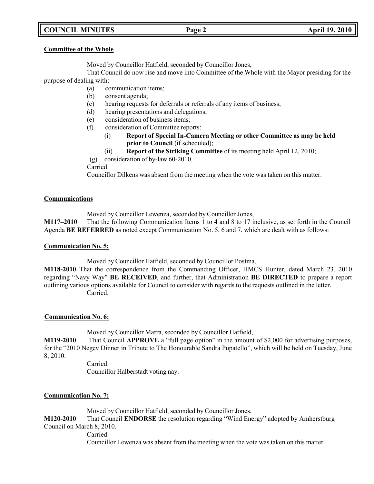# **COUNCIL MINUTES Page 2 April 19, 2010**

# **Committee of the Whole**

Moved by Councillor Hatfield, seconded by Councillor Jones,

That Council do now rise and move into Committee of the Whole with the Mayor presiding for the purpose of dealing with:

- (a) communication items;
- (b) consent agenda;
- (c) hearing requests for deferrals or referrals of any items of business;
- (d) hearing presentations and delegations;
- (e) consideration of business items;
- (f) consideration of Committee reports:
	- (i) **Report of Special In-Camera Meeting or other Committee as may be held prior to Council** (if scheduled);
	- (ii) **Report of the Striking Committee** of its meeting held April 12, 2010;
- (g) consideration of by-law 60-2010.

Carried.

Councillor Dilkens was absent from the meeting when the vote was taken on this matter.

# **Communications**

Moved by Councillor Lewenza, seconded by Councillor Jones,

**M117–2010** That the following Communication Items 1 to 4 and 8 to 17 inclusive, as set forth in the Council Agenda **BE REFERRED** as noted except Communication No. 5, 6 and 7, which are dealt with as follows:

# **Communication No. 5:**

Moved by Councillor Hatfield, seconded by Councillor Postma,

**M118-2010** That the correspondence from the Commanding Officer, HMCS Hunter, dated March 23, 2010 regarding "Navy Way" **BE RECEIVED**, and further, that Administration **BE DIRECTED** to prepare a report outlining various options available for Council to consider with regards to the requests outlined in the letter. Carried.

# **Communication No. 6:**

Moved by Councillor Marra, seconded by Councillor Hatfield,

**M119-2010** That Council **APPROVE** a "full page option" in the amount of \$2,000 for advertising purposes, for the "2010 Negev Dinner in Tribute to The Honourable Sandra Pupatello", which will be held on Tuesday, June 8, 2010.

> Carried. Councillor Halberstadt voting nay.

# **Communication No. 7:**

Moved by Councillor Hatfield, seconded by Councillor Jones,

**M120-2010** That Council **ENDORSE** the resolution regarding "Wind Energy" adopted by Amherstburg Council on March 8, 2010.

Carried.

Councillor Lewenza was absent from the meeting when the vote was taken on this matter.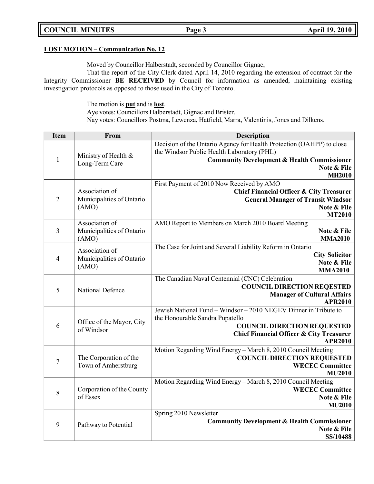# **COUNCIL MINUTES Page 3 April 19, 2010**

# **LOST MOTION – Communication No. 12**

Moved by Councillor Halberstadt, seconded by Councillor Gignac,

That the report of the City Clerk dated April 14, 2010 regarding the extension of contract for the Integrity Commissioner **BE RECEIVED** by Council for information as amended, maintaining existing investigation protocols as opposed to those used in the City of Toronto.

The motion is **put** and is **lost**.

Aye votes: Councillors Halberstadt, Gignac and Brister.

Nay votes: Councillors Postma, Lewenza, Hatfield, Marra, Valentinis, Jones and Dilkens.

| <b>Item</b>      | From                                    | <b>Description</b>                                                                               |
|------------------|-----------------------------------------|--------------------------------------------------------------------------------------------------|
|                  |                                         | Decision of the Ontario Agency for Health Protection (OAHPP) to close                            |
|                  | Ministry of Health &                    | the Windsor Public Health Laboratory (PHL)                                                       |
| $\mathbf{1}$     | Long-Term Care                          | <b>Community Development &amp; Health Commissioner</b>                                           |
|                  |                                         | Note & File                                                                                      |
|                  |                                         | <b>MH2010</b>                                                                                    |
|                  | Association of                          | First Payment of 2010 Now Received by AMO                                                        |
| $\overline{2}$   | Municipalities of Ontario               | <b>Chief Financial Officer &amp; City Treasurer</b><br><b>General Manager of Transit Windsor</b> |
|                  | (AMO)                                   | Note & File                                                                                      |
|                  |                                         | <b>MT2010</b>                                                                                    |
|                  | Association of                          | AMO Report to Members on March 2010 Board Meeting                                                |
| 3                | Municipalities of Ontario               | Note & File                                                                                      |
|                  | (AMO)                                   | <b>MMA2010</b>                                                                                   |
|                  | Association of                          | The Case for Joint and Several Liability Reform in Ontario                                       |
| $\overline{4}$   | Municipalities of Ontario               | <b>City Solicitor</b>                                                                            |
|                  | (AMO)                                   | Note & File                                                                                      |
|                  |                                         | <b>MMA2010</b>                                                                                   |
|                  |                                         | The Canadian Naval Centennial (CNC) Celebration                                                  |
| 5                | <b>National Defence</b>                 | <b>COUNCIL DIRECTION REQESTED</b>                                                                |
|                  |                                         | <b>Manager of Cultural Affairs</b><br><b>APR2010</b>                                             |
|                  |                                         | Jewish National Fund - Windsor - 2010 NEGEV Dinner in Tribute to                                 |
|                  |                                         | the Honourable Sandra Pupatello                                                                  |
| 6                | Office of the Mayor, City<br>of Windsor | <b>COUNCIL DIRECTION REQUESTED</b>                                                               |
|                  |                                         | <b>Chief Financial Officer &amp; City Treasurer</b>                                              |
|                  |                                         | <b>APR2010</b>                                                                                   |
|                  |                                         | Motion Regarding Wind Energy - March 8, 2010 Council Meeting                                     |
| $\boldsymbol{7}$ | The Corporation of the                  | <b>COUNCIL DIRECTION REQUESTED</b>                                                               |
|                  | Town of Amherstburg                     | <b>WECEC Committee</b>                                                                           |
|                  |                                         | <b>MU2010</b>                                                                                    |
| 8<br>of Essex    |                                         | Motion Regarding Wind Energy - March 8, 2010 Council Meeting                                     |
|                  | Corporation of the County               | <b>WECEC Committee</b><br>Note & File                                                            |
|                  |                                         | <b>MU2010</b>                                                                                    |
|                  |                                         | Spring 2010 Newsletter                                                                           |
| 9                |                                         | <b>Community Development &amp; Health Commissioner</b>                                           |
|                  | Pathway to Potential                    | Note & File                                                                                      |
|                  |                                         | SS/10488                                                                                         |
|                  |                                         |                                                                                                  |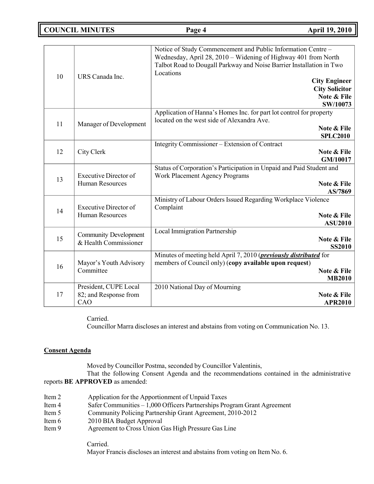**COUNCIL MINUTES Page 4 April 19, 2010**

| 10 | URS Canada Inc.                                        | Notice of Study Commencement and Public Information Centre -<br>Wednesday, April 28, 2010 – Widening of Highway 401 from North<br>Talbot Road to Dougall Parkway and Noise Barrier Installation in Two<br>Locations |
|----|--------------------------------------------------------|---------------------------------------------------------------------------------------------------------------------------------------------------------------------------------------------------------------------|
|    |                                                        | <b>City Engineer</b><br><b>City Solicitor</b><br>Note & File<br>SW/10073                                                                                                                                            |
| 11 | Manager of Development                                 | Application of Hanna's Homes Inc. for part lot control for property<br>located on the west side of Alexandra Ave.<br>Note & File<br><b>SPLC2010</b>                                                                 |
| 12 | City Clerk                                             | Integrity Commissioner - Extension of Contract<br>Note & File<br>GM/10017                                                                                                                                           |
| 13 | <b>Executive Director of</b><br><b>Human Resources</b> | Status of Corporation's Participation in Unpaid and Paid Student and<br><b>Work Placement Agency Programs</b><br>Note & File<br>AS/7869                                                                             |
| 14 | <b>Executive Director of</b><br><b>Human Resources</b> | Ministry of Labour Orders Issued Regarding Workplace Violence<br>Complaint<br>Note & File<br><b>ASU2010</b>                                                                                                         |
| 15 | <b>Community Development</b><br>& Health Commissioner  | <b>Local Immigration Partnership</b><br>Note & File<br><b>SS2010</b>                                                                                                                                                |
| 16 | Mayor's Youth Advisory<br>Committee                    | Minutes of meeting held April 7, 2010 ( <i>previously distributed</i> for<br>members of Council only) (copy available upon request)<br>Note & File<br><b>MB2010</b>                                                 |
| 17 | President, CUPE Local<br>82; and Response from<br>CAO  | 2010 National Day of Mourning<br>Note & File<br><b>APR2010</b>                                                                                                                                                      |

Carried.

Councillor Marra discloses an interest and abstains from voting on Communication No. 13.

# **Consent Agenda**

Moved by Councillor Postma, seconded by Councillor Valentinis,

That the following Consent Agenda and the recommendations contained in the administrative reports **BE APPROVED** as amended:

- Item 2 Application for the Apportionment of Unpaid Taxes<br>Item 4 Safer Communities 1.000 Officers Partnerships Pro
- Safer Communities  $-1,000$  Officers Partnerships Program Grant Agreement
- Item 5 Community Policing Partnership Grant Agreement, 2010-2012
- Item 6 2010 BIA Budget Approval
- Item 9 Agreement to Cross Union Gas High Pressure Gas Line

Carried. Mayor Francis discloses an interest and abstains from voting on Item No. 6.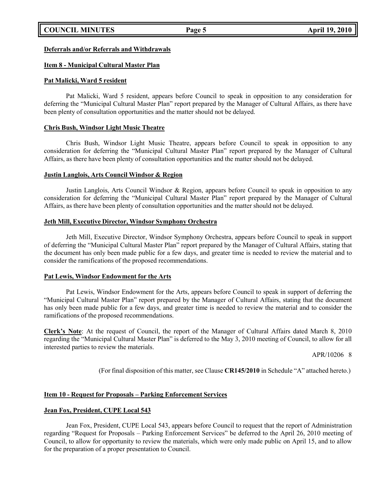# **COUNCIL MINUTES Page 5 April 19, 2010**

# **Deferrals and/or Referrals and Withdrawals**

# **Item 8 - Municipal Cultural Master Plan**

# **Pat Malicki, Ward 5 resident**

Pat Malicki, Ward 5 resident, appears before Council to speak in opposition to any consideration for deferring the "Municipal Cultural Master Plan" report prepared by the Manager of Cultural Affairs, as there have been plenty of consultation opportunities and the matter should not be delayed.

# **Chris Bush, Windsor Light Music Theatre**

Chris Bush, Windsor Light Music Theatre, appears before Council to speak in opposition to any consideration for deferring the "Municipal Cultural Master Plan" report prepared by the Manager of Cultural Affairs, as there have been plenty of consultation opportunities and the matter should not be delayed.

### **Justin Langlois, Arts Council Windsor & Region**

Justin Langlois, Arts Council Windsor & Region, appears before Council to speak in opposition to any consideration for deferring the "Municipal Cultural Master Plan" report prepared by the Manager of Cultural Affairs, as there have been plenty of consultation opportunities and the matter should not be delayed.

### **Jeth Mill, Executive Director, Windsor Symphony Orchestra**

Jeth Mill, Executive Director, Windsor Symphony Orchestra, appears before Council to speak in support of deferring the "Municipal Cultural Master Plan" report prepared by the Manager of Cultural Affairs, stating that the document has only been made public for a few days, and greater time is needed to review the material and to consider the ramifications of the proposed recommendations.

# **Pat Lewis, Windsor Endowment for the Arts**

Pat Lewis, Windsor Endowment for the Arts, appears before Council to speak in support of deferring the "Municipal Cultural Master Plan" report prepared by the Manager of Cultural Affairs, stating that the document has only been made public for a few days, and greater time is needed to review the material and to consider the ramifications of the proposed recommendations.

**Clerk's Note**: At the request of Council, the report of the Manager of Cultural Affairs dated March 8, 2010 regarding the "Municipal Cultural Master Plan" is deferred to the May 3, 2010 meeting of Council, to allow for all interested parties to review the materials.

APR/10206 8

(For final disposition of this matter, see Clause **CR145/2010** in Schedule "A" attached hereto.)

# **Item 10 - Request for Proposals – Parking Enforcement Services**

# **Jean Fox, President, CUPE Local 543**

Jean Fox, President, CUPE Local 543, appears before Council to request that the report of Administration regarding "Request for Proposals – Parking Enforcement Services" be deferred to the April 26, 2010 meeting of Council, to allow for opportunity to review the materials, which were only made public on April 15, and to allow for the preparation of a proper presentation to Council.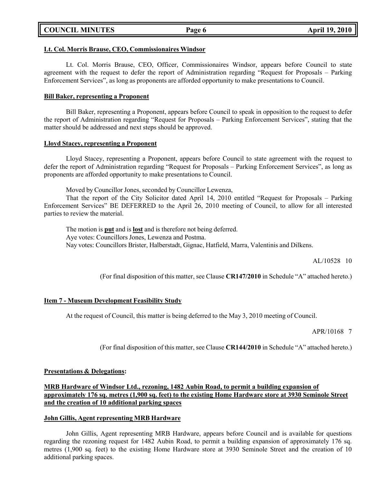|  | <b>COUNCIL MINUTES</b> |
|--|------------------------|
|--|------------------------|

### **Lt. Col. Morris Brause, CEO, Commissionaires Windsor**

Lt. Col. Morris Brause, CEO, Officer, Commissionaires Windsor, appears before Council to state agreement with the request to defer the report of Administration regarding "Request for Proposals – Parking Enforcement Services", as long as proponents are afforded opportunity to make presentations to Council.

### **Bill Baker, representing a Proponent**

Bill Baker, representing a Proponent, appears before Council to speak in opposition to the request to defer the report of Administration regarding "Request for Proposals – Parking Enforcement Services", stating that the matter should be addressed and next steps should be approved.

#### **Lloyd Stacey, representing a Proponent**

Lloyd Stacey, representing a Proponent, appears before Council to state agreement with the request to defer the report of Administration regarding "Request for Proposals – Parking Enforcement Services", as long as proponents are afforded opportunity to make presentations to Council.

Moved by Councillor Jones, seconded by Councillor Lewenza,

That the report of the City Solicitor dated April 14, 2010 entitled "Request for Proposals – Parking Enforcement Services" BE DEFERRED to the April 26, 2010 meeting of Council, to allow for all interested parties to review the material.

The motion is **put** and is **lost** and is therefore not being deferred. Aye votes: Councillors Jones, Lewenza and Postma. Nay votes: Councillors Brister, Halberstadt, Gignac, Hatfield, Marra, Valentinis and Dilkens.

AL/10528 10

(For final disposition of this matter, see Clause **CR147/2010** in Schedule "A" attached hereto.)

# **Item 7 - Museum Development Feasibility Study**

At the request of Council, this matter is being deferred to the May 3, 2010 meeting of Council.

APR/10168 7

(For final disposition of this matter, see Clause **CR144/2010** in Schedule "A" attached hereto.)

# **Presentations & Delegations:**

**MRB Hardware of Windsor Ltd., rezoning, 1482 Aubin Road, to permit a building expansion of approximately 176 sq. metres (1,900 sq. feet) to the existing Home Hardware store at 3930 Seminole Street and the creation of 10 additional parking spaces**

# **John Gillis, Agent representing MRB Hardware**

John Gillis, Agent representing MRB Hardware, appears before Council and is available for questions regarding the rezoning request for 1482 Aubin Road, to permit a building expansion of approximately 176 sq. metres (1,900 sq. feet) to the existing Home Hardware store at 3930 Seminole Street and the creation of 10 additional parking spaces.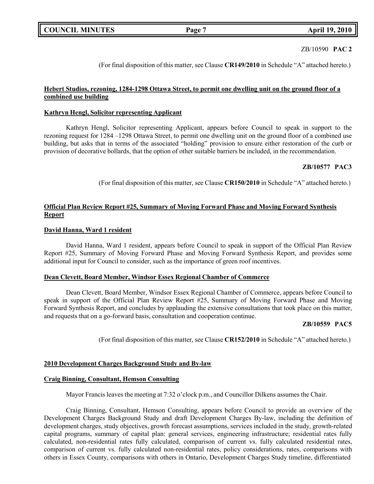# ZB/10590 **PAC 2**

(For final disposition of this matter, see Clause **CR149/2010** in Schedule "A" attached hereto.)

# **Hebert Studios, rezoning, 1284-1298 Ottawa Street, to permit one dwelling unit on the ground floor of a combined use building**

# **Kathryn Hengl, Solicitor representing Applicant**

Kathryn Hengl, Solicitor representing Applicant, appears before Council to speak in support to the rezoning request for 1284 –1298 Ottawa Street, to permit one dwelling unit on the ground floor of a combined use building, but asks that in terms of the associated "holding" provision to ensure either restoration of the curb or provision of decorative bollards, that the option of other suitable barriers be included, in the recommendation.

# **ZB/10577 PAC3**

(For final disposition of this matter, see Clause **CR150/2010** in Schedule "A" attached hereto.)

# **Official Plan Review Report #25, Summary of Moving Forward Phase and Moving Forward Synthesis Report**

# **David Hanna, Ward 1 resident**

David Hanna, Ward 1 resident, appears before Council to speak in support of the Official Plan Review Report #25, Summary of Moving Forward Phase and Moving Forward Synthesis Report, and provides some additional input for Council to consider, such as the importance of green roof incentives.

#### **Dean Clevett, Board Member, Windsor Essex Regional Chamber of Commerce**

Dean Clevett, Board Member, Windsor Essex Regional Chamber of Commerce, appears before Council to speak in support of the Official Plan Review Report #25, Summary of Moving Forward Phase and Moving Forward Synthesis Report, and concludes by applauding the extensive consultations that took place on this matter, and requests that on a go-forward basis, consultation and cooperation continue.

# **ZB/10559 PAC5**

(For final disposition of this matter, see Clause **CR152/2010** in Schedule "A" attached hereto.)

#### **2010 Development Charges Background Study and By-law**

#### **Craig Binning, Consultant, Hemson Consulting**

Mayor Francis leaves the meeting at 7:32 o'clock p.m., and Councillor Dilkens assumes the Chair.

Craig Binning, Consultant, Hemson Consulting, appears before Council to provide an overview of the Development Charges Background Study and draft Development Charges By-law, including the definition of development charges, study objectives, growth forecast assumptions, services included in the study, growth-related capital programs, summary of capital plan: general services, engineering infrastructure; residential rates fully calculated, non-residential rates fully calculated, comparison of current vs. fully calculated residential rates, comparison of current vs. fully calculated non-residential rates, policy considerations, rates, comparisons with others in Essex County, comparisons with others in Ontario, Development Charges Study timeline, differentiated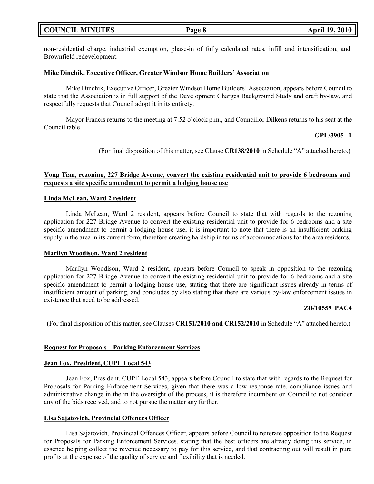non-residential charge, industrial exemption, phase-in of fully calculated rates, infill and intensification, and Brownfield redevelopment.

#### **Mike Dinchik, Executive Officer, Greater Windsor Home Builders' Association**

Mike Dinchik, Executive Officer, Greater Windsor Home Builders' Association, appears before Council to state that the Association is in full support of the Development Charges Background Study and draft by-law, and respectfully requests that Council adopt it in its entirety.

Mayor Francis returns to the meeting at 7:52 o'clock p.m., and Councillor Dilkens returns to his seat at the Council table.

#### **GPL/3905 1**

(For final disposition of this matter, see Clause **CR138/2010** in Schedule "A" attached hereto.)

# **Yong Tian, rezoning, 227 Bridge Avenue, convert the existing residential unit to provide 6 bedrooms and requests a site specific amendment to permit a lodging house use**

#### **Linda McLean, Ward 2 resident**

Linda McLean, Ward 2 resident, appears before Council to state that with regards to the rezoning application for 227 Bridge Avenue to convert the existing residential unit to provide for 6 bedrooms and a site specific amendment to permit a lodging house use, it is important to note that there is an insufficient parking supply in the area in its current form, therefore creating hardship in terms of accommodations for the area residents.

#### **Marilyn Woodison, Ward 2 resident**

Marilyn Woodison, Ward 2 resident, appears before Council to speak in opposition to the rezoning application for 227 Bridge Avenue to convert the existing residential unit to provide for 6 bedrooms and a site specific amendment to permit a lodging house use, stating that there are significant issues already in terms of insufficient amount of parking, and concludes by also stating that there are various by-law enforcement issues in existence that need to be addressed.

#### **ZB/10559 PAC4**

(For final disposition of this matter, see Clauses **CR151/2010 and CR152/2010** in Schedule "A" attached hereto.)

#### **Request for Proposals – Parking Enforcement Services**

#### **Jean Fox, President, CUPE Local 543**

Jean Fox, President, CUPE Local 543, appears before Council to state that with regards to the Request for Proposals for Parking Enforcement Services, given that there was a low response rate, compliance issues and administrative change in the in the oversight of the process, it is therefore incumbent on Council to not consider any of the bids received, and to not pursue the matter any further.

#### **Lisa Sajatovich, Provincial Offences Officer**

Lisa Sajatovich, Provincial Offences Officer, appears before Council to reiterate opposition to the Request for Proposals for Parking Enforcement Services, stating that the best officers are already doing this service, in essence helping collect the revenue necessary to pay for this service, and that contracting out will result in pure profits at the expense of the quality of service and flexibility that is needed.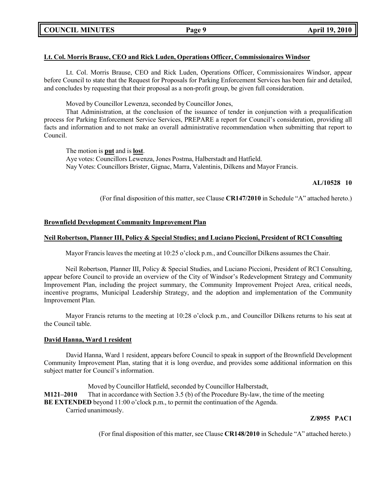# **COUNCIL MINUTES Page 9 April 19, 2010**

# **Lt. Col. Morris Brause, CEO and Rick Luden, Operations Officer, Commissionaires Windsor**

Lt. Col. Morris Brause, CEO and Rick Luden, Operations Officer, Commissionaires Windsor, appear before Council to state that the Request for Proposals for Parking Enforcement Services has been fair and detailed, and concludes by requesting that their proposal as a non-profit group, be given full consideration.

Moved by Councillor Lewenza, seconded by Councillor Jones,

That Administration, at the conclusion of the issuance of tender in conjunction with a prequalification process for Parking Enforcement Service Services, PREPARE a report for Council's consideration, providing all facts and information and to not make an overall administrative recommendation when submitting that report to Council.

The motion is **put** and is **lost**. Aye votes: Councillors Lewenza, Jones Postma, Halberstadt and Hatfield. Nay Votes: Councillors Brister, Gignac, Marra, Valentinis, Dilkens and Mayor Francis.

#### **AL/10528 10**

(For final disposition of this matter, see Clause **CR147/2010** in Schedule "A" attached hereto.)

#### **Brownfield Development Community Improvement Plan**

#### **Neil Robertson, Planner III, Policy & Special Studies; and Luciano Piccioni, President of RCI Consulting**

Mayor Francis leaves the meeting at 10:25 o'clock p.m., and Councillor Dilkens assumes the Chair.

Neil Robertson, Planner III, Policy & Special Studies, and Luciano Piccioni, President of RCI Consulting, appear before Council to provide an overview of the City of Windsor's Redevelopment Strategy and Community Improvement Plan, including the project summary, the Community Improvement Project Area, critical needs, incentive programs, Municipal Leadership Strategy, and the adoption and implementation of the Community Improvement Plan.

Mayor Francis returns to the meeting at 10:28 o'clock p.m., and Councillor Dilkens returns to his seat at the Council table.

#### **David Hanna, Ward 1 resident**

David Hanna, Ward 1 resident, appears before Council to speak in support of the Brownfield Development Community Improvement Plan, stating that it is long overdue, and provides some additional information on this subject matter for Council's information.

Moved by Councillor Hatfield, seconded by Councillor Halberstadt,

**M121–2010** That in accordance with Section 3.5 (b) of the Procedure By-law, the time of the meeting

**BE EXTENDED** beyond 11:00 o'clock p.m., to permit the continuation of the Agenda.

Carried unanimously.

#### **Z/8955 PAC1**

(For final disposition of this matter, see Clause **CR148/2010** in Schedule "A" attached hereto.)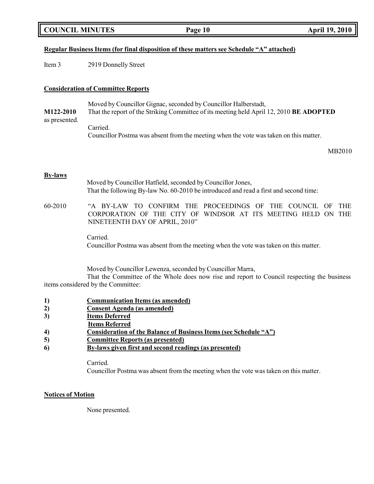|  | <b>COUNCIL MINUTES</b> |
|--|------------------------|
|--|------------------------|

# **Regular Business Items (for final disposition of these matters see Schedule "A" attached)**

Item 3 2919 Donnelly Street

### **Consideration of Committee Reports**

Moved by Councillor Gignac, seconded by Councillor Halberstadt, **M122-2010** That the report of the Striking Committee of its meeting held April 12, 2010 **BE ADOPTED** as presented.

> Carried. Councillor Postma was absent from the meeting when the vote was taken on this matter.

> > MB2010

#### **By-laws**

Moved by Councillor Hatfield, seconded by Councillor Jones, That the following By-law No. 60-2010 be introduced and read a first and second time: 60-2010 "A BY-LAW TO CONFIRM THE PROCEEDINGS OF THE COUNCIL OF THE CORPORATION OF THE CITY OF WINDSOR AT ITS MEETING HELD ON THE NINETEENTH DAY OF APRIL, 2010"

Carried.

Councillor Postma was absent from the meeting when the vote was taken on this matter.

Moved by Councillor Lewenza, seconded by Councillor Marra,

That the Committee of the Whole does now rise and report to Council respecting the business items considered by the Committee:

- **1) Communication Items (as amended)**
- **2) Consent Agenda (as amended)**
- **3) Items Deferred**
- **Items Referred**
- **4) Consideration of the Balance of Business Items (see Schedule "A")**
- **5) Committee Reports (as presented)**
- **6) By-laws given first and second readings (as presented)**

Carried.

Councillor Postma was absent from the meeting when the vote was taken on this matter.

# **Notices of Motion**

None presented.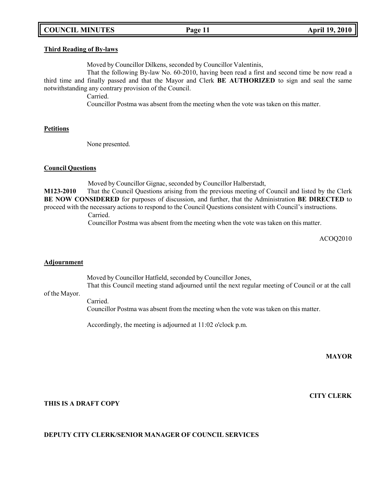# **COUNCIL MINUTES Page 11 April 19, 2010**

#### **Third Reading of By-laws**

Moved by Councillor Dilkens, seconded by Councillor Valentinis,

That the following By-law No. 60-2010, having been read a first and second time be now read a third time and finally passed and that the Mayor and Clerk **BE AUTHORIZED** to sign and seal the same notwithstanding any contrary provision of the Council.

Carried.

Councillor Postma was absent from the meeting when the vote was taken on this matter.

#### **Petitions**

None presented.

### **Council Questions**

Moved by Councillor Gignac, seconded by Councillor Halberstadt,

**M123-2010** That the Council Questions arising from the previous meeting of Council and listed by the Clerk **BE NOW CONSIDERED** for purposes of discussion, and further, that the Administration **BE DIRECTED** to proceed with the necessary actions to respond to the Council Questions consistent with Council's instructions.

Carried.

Councillor Postma was absent from the meeting when the vote was taken on this matter.

ACOQ2010

#### **Adjournment**

Moved by Councillor Hatfield, seconded by Councillor Jones, That this Council meeting stand adjourned until the next regular meeting of Council or at the call

# of the Mayor.

Carried. Councillor Postma was absent from the meeting when the vote was taken on this matter.

Accordingly, the meeting is adjourned at 11:02 o'clock p.m.

**MAYOR**

**CITY CLERK**

# **THIS IS A DRAFT COPY**

# **DEPUTY CITY CLERK/SENIOR MANAGER OF COUNCIL SERVICES**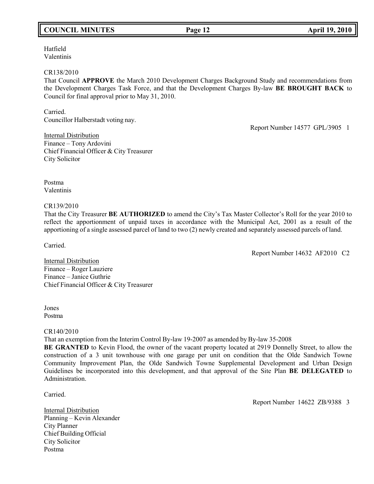# **COUNCIL MINUTES Page 12 April 19, 2010**

Hatfield Valentinis

#### CR138/2010

That Council **APPROVE** the March 2010 Development Charges Background Study and recommendations from the Development Charges Task Force, and that the Development Charges By-law **BE BROUGHT BACK** to Council for final approval prior to May 31, 2010.

Carried. Councillor Halberstadt voting nay.

Report Number 14577 GPL/3905 1

Internal Distribution Finance – Tony Ardovini Chief Financial Officer & City Treasurer City Solicitor

Postma Valentinis

#### CR139/2010

That the City Treasurer **BE AUTHORIZED** to amend the City's Tax Master Collector's Roll for the year 2010 to reflect the apportionment of unpaid taxes in accordance with the Municipal Act, 2001 as a result of the apportioning of a single assessed parcel of land to two (2) newly created and separately assessed parcels of land.

Carried.

Report Number 14632 AF2010 C2

Internal Distribution Finance – Roger Lauziere Finance – Janice Guthrie Chief Financial Officer & City Treasurer

Jones Postma

# CR140/2010

That an exemption from the Interim Control By-law 19-2007 as amended by By-law 35-2008

**BE GRANTED** to Kevin Flood, the owner of the vacant property located at 2919 Donnelly Street, to allow the construction of a 3 unit townhouse with one garage per unit on condition that the Olde Sandwich Towne Community Improvement Plan, the Olde Sandwich Towne Supplemental Development and Urban Design Guidelines be incorporated into this development, and that approval of the Site Plan **BE DELEGATED** to Administration.

Carried.

**Internal Distribution** Planning – Kevin Alexander City Planner Chief Building Official City Solicitor Postma

Report Number 14622 ZB/9388 3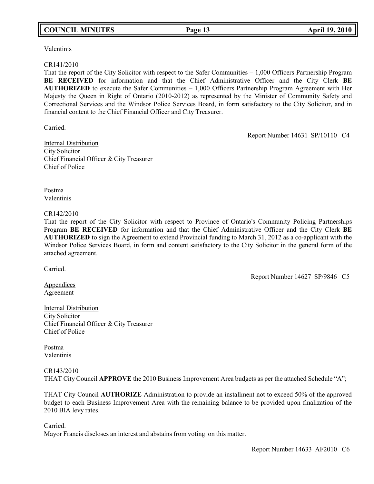# **COUNCIL MINUTES Page 13 April 19, 2010**

Valentinis

#### CR141/2010

That the report of the City Solicitor with respect to the Safer Communities – 1,000 Officers Partnership Program **BE RECEIVED** for information and that the Chief Administrative Officer and the City Clerk **BE AUTHORIZED** to execute the Safer Communities – 1,000 Officers Partnership Program Agreement with Her Majesty the Queen in Right of Ontario (2010-2012) as represented by the Minister of Community Safety and Correctional Services and the Windsor Police Services Board, in form satisfactory to the City Solicitor, and in financial content to the Chief Financial Officer and City Treasurer.

Carried.

Report Number 14631 SP/10110 C4

Internal Distribution City Solicitor Chief Financial Officer & City Treasurer Chief of Police

Postma Valentinis

### CR142/2010

That the report of the City Solicitor with respect to Province of Ontario's Community Policing Partnerships Program **BE RECEIVED** for information and that the Chief Administrative Officer and the City Clerk **BE AUTHORIZED** to sign the Agreement to extend Provincial funding to March 31, 2012 as a co-applicant with the Windsor Police Services Board, in form and content satisfactory to the City Solicitor in the general form of the attached agreement.

Carried.

Report Number 14627 SP/9846 C5

**Appendices** Agreement

Internal Distribution City Solicitor Chief Financial Officer & City Treasurer Chief of Police

Postma Valentinis

# CR143/2010

THAT City Council **APPROVE** the 2010 Business Improvement Area budgets as per the attached Schedule "A";

THAT City Council **AUTHORIZE** Administration to provide an installment not to exceed 50% of the approved budget to each Business Improvement Area with the remaining balance to be provided upon finalization of the 2010 BIA levy rates.

Carried.

Mayor Francis discloses an interest and abstains from voting on this matter.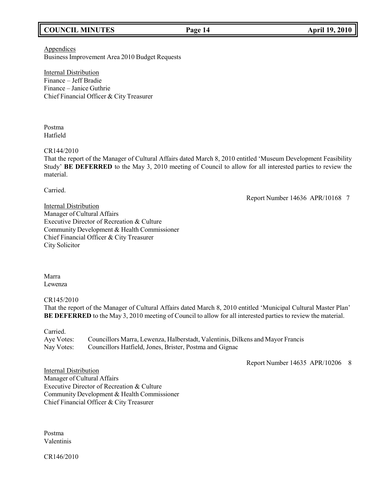# **COUNCIL MINUTES Page 14 April 19, 2010**

**Appendices** Business Improvement Area 2010 Budget Requests

Internal Distribution Finance – Jeff Bradie Finance – Janice Guthrie Chief Financial Officer & City Treasurer

Postma Hatfield

### CR144/2010

That the report of the Manager of Cultural Affairs dated March 8, 2010 entitled 'Museum Development Feasibility Study' **BE DEFERRED** to the May 3, 2010 meeting of Council to allow for all interested parties to review the material.

Carried.

Report Number 14636 APR/10168 7

Internal Distribution Manager of Cultural Affairs Executive Director of Recreation & Culture Community Development & Health Commissioner Chief Financial Officer & City Treasurer City Solicitor

Marra Lewenza

CR145/2010

That the report of the Manager of Cultural Affairs dated March 8, 2010 entitled 'Municipal Cultural Master Plan' **BE DEFERRED** to the May 3, 2010 meeting of Council to allow for all interested parties to review the material.

Carried.

Aye Votes: Councillors Marra, Lewenza, Halberstadt, Valentinis, Dilkens and Mayor Francis Nay Votes: Councillors Hatfield, Jones, Brister, Postma and Gignac

Report Number 14635 APR/10206 8

Internal Distribution Manager of Cultural Affairs Executive Director of Recreation & Culture Community Development & Health Commissioner Chief Financial Officer & City Treasurer

Postma Valentinis

CR146/2010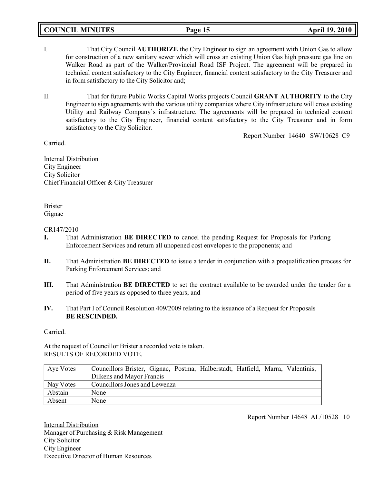# **COUNCIL MINUTES Page 15 April 19, 2010**

- I. That City Council **AUTHORIZE** the City Engineer to sign an agreement with Union Gas to allow for construction of a new sanitary sewer which will cross an existing Union Gas high pressure gas line on Walker Road as part of the Walker/Provincial Road ISF Project. The agreement will be prepared in technical content satisfactory to the City Engineer, financial content satisfactory to the City Treasurer and in form satisfactory to the City Solicitor and;
- II. That for future Public Works Capital Works projects Council **GRANT AUTHORITY** to the City Engineer to sign agreements with the various utility companies where City infrastructure will cross existing Utility and Railway Company's infrastructure. The agreements will be prepared in technical content satisfactory to the City Engineer, financial content satisfactory to the City Treasurer and in form satisfactory to the City Solicitor.

Report Number 14640 SW/10628 C9

Carried.

Internal Distribution City Engineer City Solicitor Chief Financial Officer & City Treasurer

# Brister Gignac

### CR147/2010

- **I.** That Administration **BE DIRECTED** to cancel the pending Request for Proposals for Parking Enforcement Services and return all unopened cost envelopes to the proponents; and
- **II.** That Administration **BE DIRECTED** to issue a tender in conjunction with a prequalification process for Parking Enforcement Services; and
- **III.** That Administration **BE DIRECTED** to set the contract available to be awarded under the tender for a period of five years as opposed to three years; and
- **IV.** That Part I of Council Resolution 409/2009 relating to the issuance of a Request for Proposals **BE RESCINDED.**

Carried.

At the request of Councillor Brister a recorded vote is taken. RESULTS OF RECORDED VOTE.

| Aye Votes | Councillors Brister, Gignac, Postma, Halberstadt, Hatfield, Marra, Valentinis, |
|-----------|--------------------------------------------------------------------------------|
|           | Dilkens and Mayor Francis                                                      |
| Nay Votes | Councillors Jones and Lewenza                                                  |
| Abstain   | None                                                                           |
| Absent    | None                                                                           |

Report Number 14648 AL/10528 10

Internal Distribution Manager of Purchasing & Risk Management City Solicitor City Engineer Executive Director of Human Resources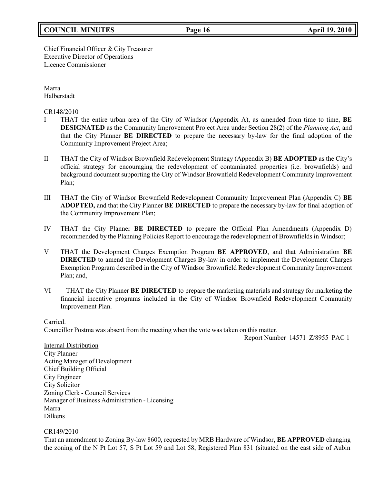# **COUNCIL MINUTES Page 16 April 19, 2010**

### Chief Financial Officer & City Treasurer Executive Director of Operations Licence Commissioner

Marra Halberstadt

CR148/2010

- I THAT the entire urban area of the City of Windsor (Appendix A), as amended from time to time, **BE DESIGNATED** as the Community Improvement Project Area under Section 28(2) of the *Planning Act*, and that the City Planner **BE DIRECTED** to prepare the necessary by-law for the final adoption of the Community Improvement Project Area;
- II THAT the City of Windsor Brownfield Redevelopment Strategy (Appendix B) **BE ADOPTED** as the City's official strategy for encouraging the redevelopment of contaminated properties (i.e. brownfields) and background document supporting the City of Windsor Brownfield Redevelopment Community Improvement Plan;
- III THAT the City of Windsor Brownfield Redevelopment Community Improvement Plan (Appendix C) **BE ADOPTED,** and that the City Planner **BE DIRECTED** to prepare the necessary by-law for final adoption of the Community Improvement Plan;
- IV THAT the City Planner **BE DIRECTED** to prepare the Official Plan Amendments (Appendix D) recommended by the Planning Policies Report to encourage the redevelopment of Brownfields in Windsor;
- V THAT the Development Charges Exemption Program **BE APPROVED**, and that Administration **BE DIRECTED** to amend the Development Charges By-law in order to implement the Development Charges Exemption Program described in the City of Windsor Brownfield Redevelopment Community Improvement Plan; and,
- VI THAT the City Planner **BE DIRECTED** to prepare the marketing materials and strategy for marketing the financial incentive programs included in the City of Windsor Brownfield Redevelopment Community Improvement Plan.

Carried.

Councillor Postma was absent from the meeting when the vote was taken on this matter.

Report Number 14571 Z/8955 PAC 1

**Internal Distribution** City Planner Acting Manager of Development Chief Building Official City Engineer City Solicitor Zoning Clerk - Council Services Manager of Business Administration - Licensing Marra Dilkens

CR149/2010

That an amendment to Zoning By-law 8600, requested by MRB Hardware of Windsor, **BE APPROVED** changing the zoning of the N Pt Lot 57, S Pt Lot 59 and Lot 58, Registered Plan 831 (situated on the east side of Aubin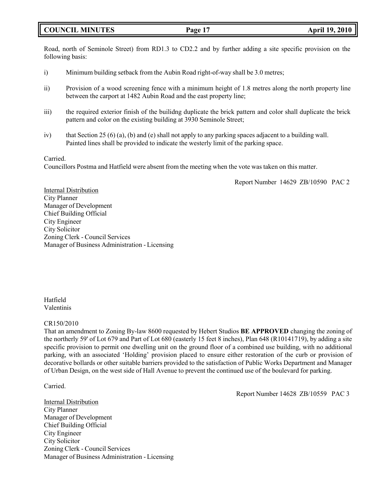# **COUNCIL MINUTES Page 17 April 19, 2010**

Road, north of Seminole Street) from RD1.3 to CD2.2 and by further adding a site specific provision on the following basis:

- i) Minimum building setback from the Aubin Road right-of-way shall be 3.0 metres;
- ii) Provision of a wood screening fence with a minimum height of 1.8 metres along the north property line between the carport at 1482 Aubin Road and the east property line;
- iii) the required exterior finish of the builidng duplicate the brick pattern and color shall duplicate the brick pattern and color on the existing building at 3930 Seminole Street;
- iv) that Section 25 (6) (a), (b) and (e) shall not apply to any parking spaces adjacent to a building wall. Painted lines shall be provided to indicate the westerly limit of the parking space.

### Carried.

Councillors Postma and Hatfield were absent from the meeting when the vote was taken on this matter.

Report Number 14629 ZB/10590 PAC 2

Internal Distribution City Planner Manager of Development Chief Building Official City Engineer City Solicitor Zoning Clerk - Council Services Manager of Business Administration - Licensing

Hatfield Valentinis

# CR150/2010

That an amendment to Zoning By-law 8600 requested by Hebert Studios **BE APPROVED** changing the zoning of the northerly 59' of Lot 679 and Part of Lot 680 (easterly 15 feet 8 inches), Plan 648 (R10141719), by adding a site specific provision to permit one dwelling unit on the ground floor of a combined use building, with no additional parking, with an associated 'Holding' provision placed to ensure either restoration of the curb or provision of decorative bollards or other suitable barriers provided to the satisfaction of Public Works Department and Manager of Urban Design, on the west side of Hall Avenue to prevent the continued use of the boulevard for parking.

Carried.

Internal Distribution City Planner Manager of Development Chief Building Official City Engineer City Solicitor Zoning Clerk - Council Services Manager of Business Administration - Licensing Report Number 14628 ZB/10559 PAC 3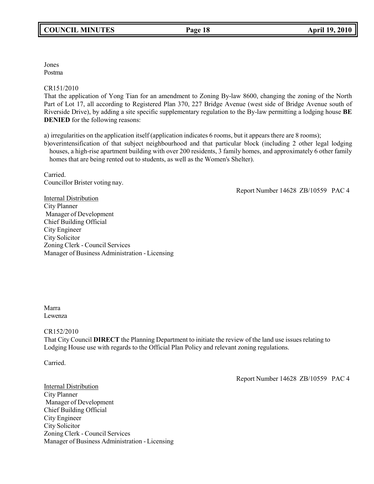Jones Postma

CR151/2010

That the application of Yong Tian for an amendment to Zoning By-law 8600, changing the zoning of the North Part of Lot 17, all according to Registered Plan 370, 227 Bridge Avenue (west side of Bridge Avenue south of Riverside Drive), by adding a site specific supplementary regulation to the By-law permitting a lodging house **BE DENIED** for the following reasons:

a) irregularities on the application itself (application indicates 6 rooms, but it appears there are 8 rooms);

b)overintensification of that subject neighbourhood and that particular block (including 2 other legal lodging houses, a high-rise apartment building with over 200 residents, 3 family homes, and approximately 6 other family homes that are being rented out to students, as well as the Women's Shelter).

Carried. Councillor Brister voting nay.

Report Number 14628 ZB/10559 PAC 4

Internal Distribution City Planner Manager of Development Chief Building Official City Engineer City Solicitor Zoning Clerk - Council Services Manager of Business Administration - Licensing

Marra Lewenza

# CR152/2010

That City Council **DIRECT** the Planning Department to initiate the review of the land use issues relating to Lodging House use with regards to the Official Plan Policy and relevant zoning regulations.

Carried.

Report Number 14628 ZB/10559 PAC 4

Internal Distribution City Planner Manager of Development Chief Building Official City Engineer City Solicitor Zoning Clerk - Council Services Manager of Business Administration - Licensing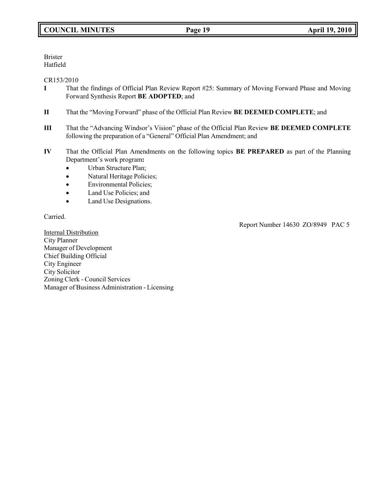Brister Hatfield

# CR153/2010

- **I** That the findings of Official Plan Review Report #25: Summary of Moving Forward Phase and Moving Forward Synthesis Report **BE ADOPTED**; and
- **II** That the "Moving Forward" phase of the Official Plan Review **BE DEEMED COMPLETE**; and
- **III** That the "Advancing Windsor's Vision" phase of the Official Plan Review **BE DEEMED COMPLETE** following the preparation of a "General" Official Plan Amendment; and
- **IV** That the Official Plan Amendments on the following topics **BE PREPARED** as part of the Planning Department's work program**:**
	- Urban Structure Plan;
	- Natural Heritage Policies;
	- Environmental Policies;
	- Land Use Policies; and
	- Land Use Designations.

Carried.

Report Number 14630 ZO/8949 PAC 5

Internal Distribution City Planner Manager of Development Chief Building Official City Engineer City Solicitor Zoning Clerk - Council Services Manager of Business Administration - Licensing